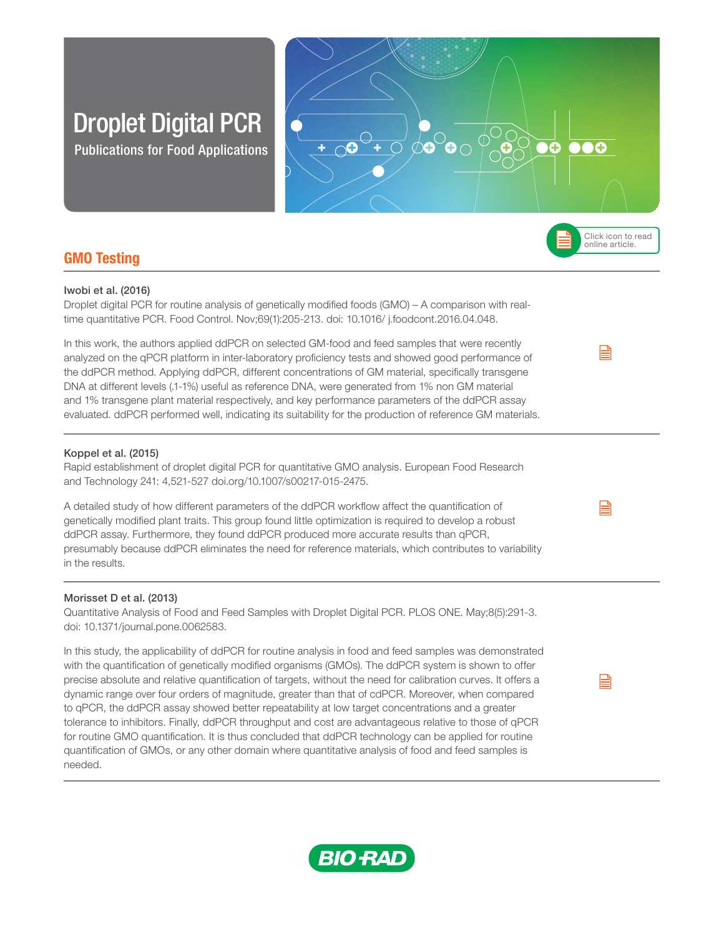# Droplet Digital PCR

Publications for Food Applications



# GMO Testing

## Iwobi et al. (2016)

Droplet digital PCR for routine analysis of genetically modified foods (GMO) – A comparison with realtime quantitative PCR. Food Control. Nov;69(1):205-213. doi: 10.1016/ j.foodcont.2016.04.048.

In this work, the authors applied ddPCR on selected GM-food and feed samples that were recently analyzed on the qPCR platform in inter-laboratory proficiency tests and showed good performance of the ddPCR method. Applying ddPCR, different concentrations of GM material, specifically transgene DNA at different levels (.1-1%) useful as reference DNA, were generated from 1% non GM material and 1% transgene plant material respectively, and key performance parameters of the ddPCR assay evaluated. ddPCR performed well, indicating its suitability for the production of reference GM materials.

45R 71G 144B

0R 90G 44B

0R 124G 61B

121R 173G 54B

## Koppel et al. (2015)

Rapid establishment of droplet digital PCR for quantitative GMO analysis. European Food Research and Technology 241: 4,521-527 doi.org/10.1007/s00217-015-2475.

99R 177G 209B

A detailed study of how different parameters of the ddPCR workflow affect the quantification of genetically modified plant traits. This group found little optimization is required to develop a robust ddPCR assay. Furthermore, they found ddPCR produced more accurate results than qPCR, presumably because ddPCR eliminates the need for reference materials, which contributes to variability in the results.

## Morisset D et al. (2013)

Quantitative Analysis of Food and Feed Samples with Droplet Digital PCR. PLOS ONE. May;8(5):291-3. doi: 10.1371/journal.pone.0062583.

In this study, the applicability of ddPCR for routine analysis in food and feed samples was demonstrated with the quantification of genetically modified organisms (GMOs). The ddPCR system is shown to offer precise absolute and relative quantification of targets, without the need for calibration curves. It offers a dynamic range over four orders of magnitude, greater than that of cdPCR. Moreover, when compared to qPCR, the ddPCR assay showed better repeatability at low target concentrations and a greater tolerance to inhibitors. Finally, ddPCR throughput and cost are advantageous relative to those of qPCR for routine GMO quantification. It is thus concluded that ddPCR technology can be applied for routine quantification of GMOs, or any other domain where quantitative analysis of food and feed samples is needed.



e

B

e

Click icon to read online article.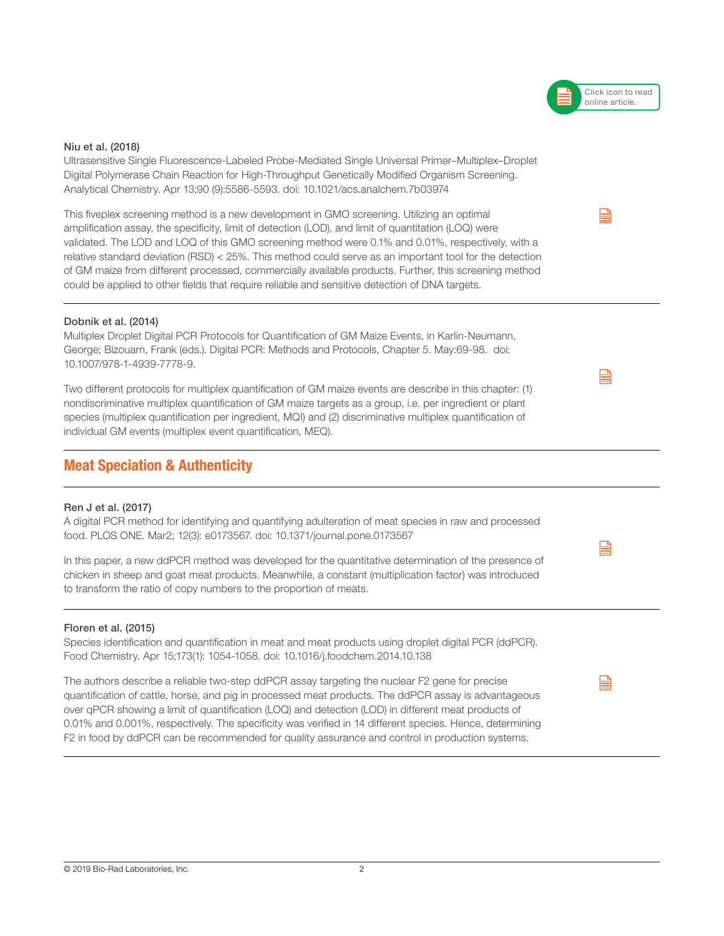## Niu et al. (2018)

Ultrasensitive Single Fluorescence-Labeled Probe-Mediated Single Universal Primer–Multiplex–Droplet Digital Polymerase Chain Reaction for High-Throughput Genetically Modified Organism Screening. Analytical Chemistry. Apr 13;90 (9):5586-5593. doi: 10.1021/acs.analchem.7b03974

This fiveplex screening method is a new development in GMO screening. Utilizing an optimal amplification assay, the specificity, limit of detection (LOD), and limit of quantitation (LOQ) were validated. The LOD and LOQ of this GMO screening method were 0.1% and 0.01%, respectively, with a relative standard deviation (RSD) < 25%. This method could serve as an important tool for the detection of GM maize from different processed, commercially available products. Further, this screening method could be applied to other fields that require reliable and sensitive detection of DNA targets.

## Dobnik et al. (2014)

Multiplex Droplet Digital PCR Protocols for Quantification of GM Maize Events, in Karlin-Neumann, George; Bizouarn, Frank (eds.). Digital PCR: Methods and Protocols, Chapter 5. May:69-98. doi: 10.1007/978-1-4939-7778-9.

Two different protocols for multiplex quantification of GM maize events are describe in this chapter: (1) nondiscriminative multiplex quantification of GM maize targets as a group, i.e. per ingredient or plant species (multiplex quantification per ingredient, MQI) and (2) discriminative multiplex quantification of individual GM events (multiplex event quantification, MEQ).

## Meat Speciation & Authenticity

## Ren J et al. (2017)

A digital PCR method for identifying and quantifying adulteration of meat species in raw and processed food. PLOS ONE. Mar2; 12(3): e0173567. doi: 10.1371/journal.pone.0173567

In this paper, a new ddPCR method was developed for the quantitative determination of the presence of chicken in sheep and goat meat products. Meanwhile, a constant (multiplication factor) was introduced to transform the ratio of copy numbers to the proportion of meats.

## Floren et al. (2015)

Species identification and quantification in meat and meat products using droplet digital PCR (ddPCR). Food Chemistry. Apr 15;173(1): 1054-1058. doi: 10.1016/j.foodchem.2014.10.138

The authors describe a reliable two-step ddPCR assay targeting the nuclear F2 gene for precise quantification of cattle, horse, and pig in processed meat products. The ddPCR assay is advantageous over qPCR showing a limit of quantification (LOQ) and detection (LOD) in different meat products of 0.01% and 0.001%, respectively. The specificity was verified in 14 different species. Hence, determining F2 in food by ddPCR can be recommended for quality assurance and control in production systems.



B



B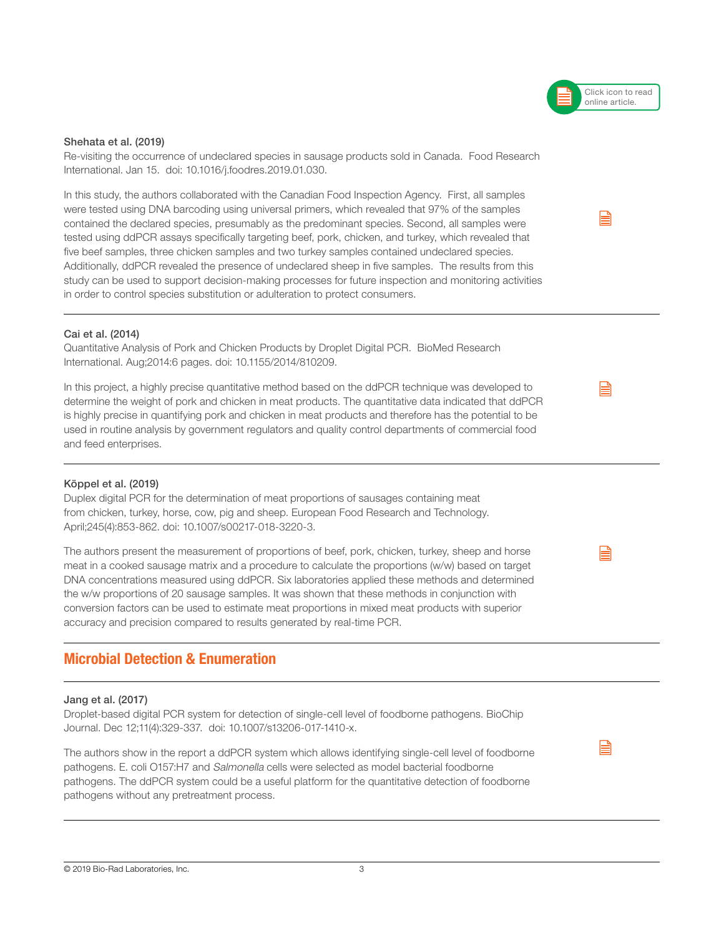#### Shehata et al. (2019)

Re-visiting the occurrence of undeclared species in sausage products sold in Canada. Food Research International. Jan 15. doi: 10.1016/j.foodres.2019.01.030.

In this study, the authors collaborated with the Canadian Food Inspection Agency. First, all samples were tested using DNA barcoding using universal primers, which revealed that 97% of the samples contained the declared species, presumably as the predominant species. Second, all samples were tested using ddPCR assays specifically targeting beef, pork, chicken, and turkey, which revealed that five beef samples, three chicken samples and two turkey samples contained undeclared species. Additionally, ddPCR revealed the presence of undeclared sheep in five samples. The results from this study can be used to support decision-making processes for future inspection and monitoring activities in order to control species substitution or adulteration to protect consumers.

#### Cai et al. (2014)

Quantitative Analysis of Pork and Chicken Products by Droplet Digital PCR. BioMed Research International. Aug;2014:6 pages. doi: 10.1155/2014/810209.

In this project, a highly precise quantitative method based on the ddPCR technique was developed to determine the weight of pork and chicken in meat products. The quantitative data indicated that ddPCR is highly precise in quantifying pork and chicken in meat products and therefore has the potential to be used in routine analysis by government regulators and quality control departments of commercial food and feed enterprises.

## Köppel et al. (2019)

Duplex digital PCR for the determination of meat proportions of sausages containing meat from chicken, turkey, horse, cow, pig and sheep. European Food Research and Technology. April;245(4):853-862. doi: 10.1007/s00217-018-3220-3.

The authors present the measurement of proportions of beef, pork, chicken, turkey, sheep and horse meat in a cooked sausage matrix and a procedure to calculate the proportions (w/w) based on target DNA concentrations measured using ddPCR. Six laboratories applied these methods and determined the w/w proportions of 20 sausage samples. It was shown that these methods in conjunction with conversion factors can be used to estimate meat proportions in mixed meat products with superior accuracy and precision compared to results generated by real-time PCR.

# Microbial Detection & Enumeration

#### Jang et al. (2017)

Droplet-based digital PCR system for detection of single-cell level of foodborne pathogens. BioChip Journal. Dec 12;11(4):329-337. doi: 10.1007/s13206-017-1410-x.

The authors show in the report a ddPCR system which allows identifying single-cell level of foodborne pathogens. E. coli O157:H7 and Salmonella cells were selected as model bacterial foodborne pathogens. The ddPCR system could be a useful platform for the quantitative detection of foodborne pathogens without any pretreatment process.

B



B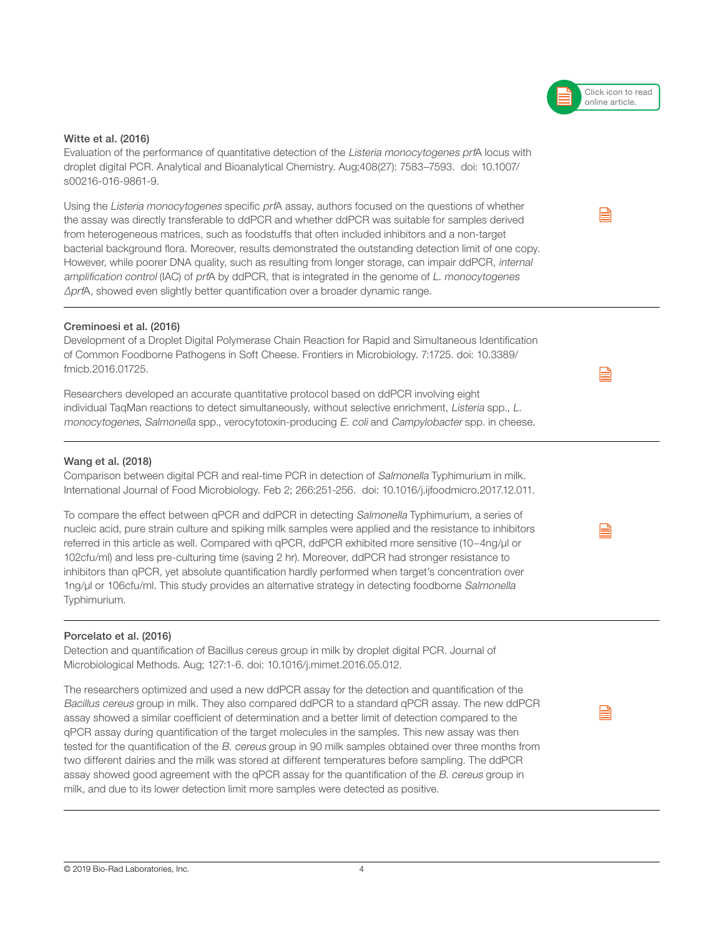## Witte et al. (2016)

Evaluation of the performance of quantitative detection of the Listeria monocytogenes prfA locus with droplet digital PCR. Analytical and Bioanalytical Chemistry. Aug;408(27): 7583–7593. doi: 10.1007/ s00216-016-9861-9.

Using the Listeria monocytogenes specific prfA assay, authors focused on the questions of whether the assay was directly transferable to ddPCR and whether ddPCR was suitable for samples derived from heterogeneous matrices, such as foodstuffs that often included inhibitors and a non-target bacterial background flora. Moreover, results demonstrated the outstanding detection limit of one copy. However, while poorer DNA quality, such as resulting from longer storage, can impair ddPCR, internal amplification control (IAC) of prfA by ddPCR, that is integrated in the genome of L. monocytogenes ΔprfA, showed even slightly better quantification over a broader dynamic range.

## Creminoesi et al. (2016)

Development of a Droplet Digital Polymerase Chain Reaction for Rapid and Simultaneous Identification of Common Foodborne Pathogens in Soft Cheese. Frontiers in Microbiology. 7:1725. doi: 10.3389/ fmicb.2016.01725.

Researchers developed an accurate quantitative protocol based on ddPCR involving eight individual TaqMan reactions to detect simultaneously, without selective enrichment, Listeria spp., L. monocytogenes, Salmonella spp., verocytotoxin-producing E. coli and Campylobacter spp. in cheese.

## Wang et al. (2018)

Comparison between digital PCR and real-time PCR in detection of Salmonella Typhimurium in milk. International Journal of Food Microbiology. Feb 2; 266:251-256. doi: 10.1016/j.ijfoodmicro.2017.12.011.

To compare the effect between qPCR and ddPCR in detecting Salmonella Typhimurium, a series of nucleic acid, pure strain culture and spiking milk samples were applied and the resistance to inhibitors referred in this article as well. Compared with qPCR, ddPCR exhibited more sensitive (10−4ng/μl or 102cfu/ml) and less pre-culturing time (saving 2 hr). Moreover, ddPCR had stronger resistance to inhibitors than qPCR, yet absolute quantification hardly performed when target's concentration over 1ng/μl or 106cfu/ml. This study provides an alternative strategy in detecting foodborne Salmonella Typhimurium.

## Porcelato et al. (2016)

Detection and quantification of Bacillus cereus group in milk by droplet digital PCR. Journal of Microbiological Methods. Aug; 127:1-6. doi: 10.1016/j.mimet.2016.05.012.

The researchers optimized and used a new ddPCR assay for the detection and quantification of the Bacillus cereus group in milk. They also compared ddPCR to a standard qPCR assay. The new ddPCR assay showed a similar coefficient of determination and a better limit of detection compared to the qPCR assay during quantification of the target molecules in the samples. This new assay was then tested for the quantification of the B. cereus group in 90 milk samples obtained over three months from two different dairies and the milk was stored at different temperatures before sampling. The ddPCR assay showed good agreement with the qPCR assay for the quantification of the B. cereus group in milk, and due to its lower detection limit more samples were detected as positive.

Click icon to read online article.

B

e



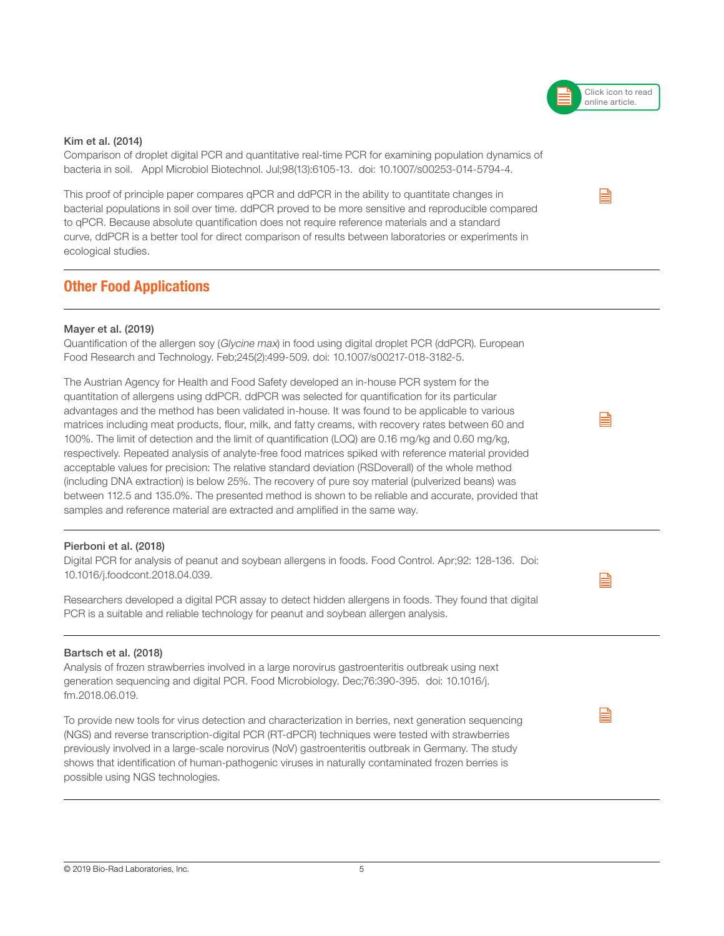# Kim et al. (2014)

Comparison of droplet digital PCR and quantitative real-time PCR for examining population dynamics of bacteria in soil. Appl Microbiol Biotechnol. Jul;98(13):6105-13. doi: 10.1007/s00253-014-5794-4.

This proof of principle paper compares qPCR and ddPCR in the ability to quantitate changes in bacterial populations in soil over time. ddPCR proved to be more sensitive and reproducible compared to qPCR. Because absolute quantification does not require reference materials and a standard curve, ddPCR is a better tool for direct comparison of results between laboratories or experiments in ecological studies.

# Other Food Applications

## Mayer et al. (2019)

Quantification of the allergen soy (Glycine max) in food using digital droplet PCR (ddPCR). European Food Research and Technology. Feb;245(2):499-509. doi: 10.1007/s00217-018-3182-5.

The Austrian Agency for Health and Food Safety developed an in-house PCR system for the quantitation of allergens using ddPCR. ddPCR was selected for quantification for its particular advantages and the method has been validated in-house. It was found to be applicable to various matrices including meat products, flour, milk, and fatty creams, with recovery rates between 60 and 100%. The limit of detection and the limit of quantification (LOQ) are 0.16 mg/kg and 0.60 mg/kg, respectively. Repeated analysis of analyte-free food matrices spiked with reference material provided acceptable values for precision: The relative standard deviation (RSDoverall) of the whole method (including DNA extraction) is below 25%. The recovery of pure soy material (pulverized beans) was between 112.5 and 135.0%. The presented method is shown to be reliable and accurate, provided that samples and reference material are extracted and amplified in the same way.

## Pierboni et al. (2018)

Digital PCR for analysis of peanut and soybean allergens in foods. Food Control. Apr;92: 128-136. Doi: 10.1016/j.foodcont.2018.04.039.

Researchers developed a digital PCR assay to detect hidden allergens in foods. They found that digital PCR is a suitable and reliable technology for peanut and soybean allergen analysis.

## Bartsch et al. (2018)

Analysis of frozen strawberries involved in a large norovirus gastroenteritis outbreak using next generation sequencing and digital PCR. Food Microbiology. Dec;76:390-395. doi: 10.1016/j. fm.2018.06.019.

To provide new tools for virus detection and characterization in berries, next generation sequencing (NGS) and reverse transcription-digital PCR (RT-dPCR) techniques were tested with strawberries previously involved in a large-scale norovirus (NoV) gastroenteritis outbreak in Germany. The study shows that identification of human-pathogenic viruses in naturally contaminated frozen berries is possible using NGS technologies.





e

 $\mathop{\boxplus}$